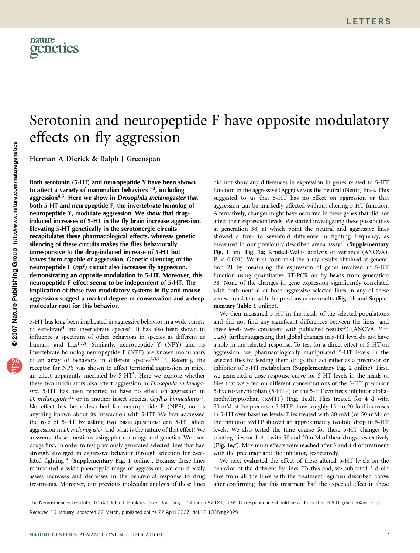

# Serotonin and neuropeptide F have opposite modulatory effects on fly aggression

Herman A Dierick & Ralph J Greenspan

Both serotonin (5-HT) and neuropeptide Y have been shown to affect a variety of mammalian behaviors $1-3$ , including aggression<sup>4,5</sup>. Here we show in *Drosophila melanogaster* that both 5-HT and neuropeptide F, the invertebrate homolog of neuropeptide Y, modulate aggression. We show that druginduced increases of 5-HT in the fly brain increase aggression. Elevating 5-HT genetically in the serotonergic circuits recapitulates these pharmacological effects, whereas genetic silencing of these circuits makes the flies behaviorally unresponsive to the drug-induced increase of 5-HT but leaves them capable of aggression. Genetic silencing of the neuropeptide  $F$  (*npf*) circuit also increases fly aggression, demonstrating an opposite modulation to 5-HT. Moreover, this neuropeptide F effect seems to be independent of 5-HT. The implication of these two modulatory systems in fly and mouse aggression suggest a marked degree of conservation and a deep molecular root for this behavior.

5-HT has long been implicated in aggressive behavior in a wide variety of vertebrate<sup>4</sup> and invertebrate species<sup>6</sup>. It has also been shown to influence a spectrum of other behaviors in species as different as humans and flies<sup>1,7,8</sup>. Similarly, neuropeptide Y (NPY) and its invertebrate homolog neuropeptide F (NPF) are known modulators of an array of behaviors in different species<sup>2,3,9–11</sup>. Recently, the receptor for NPY was shown to affect territorial aggression in mice, an effect apparently mediated by 5-HT<sup>5</sup>. Here we explore whether these two modulators also affect aggression in Drosophila melanogaster. 5-HT has been reported to have no effect on aggression in D. melanogaster<sup>12</sup> or in another insect species, Gryllus bimaculatus<sup>13</sup>. No effect has been described for neuropeptide F (NPF), nor is anything known about its interaction with 5-HT. We first addressed the role of 5-HT by asking two basic questions: can 5-HT affect aggression in D. melanogaster, and what is the nature of that effect? We answered these questions using pharmacology and genetics. We used drugs first, in order to test previously generated selected lines that had strongly diverged in aggressive behavior through selection for escalated fighting<sup>14</sup> (Supplementary Fig. 1 online). Because these lines represented a wide phenotypic range of aggression, we could easily assess increases and decreases in the behavioral response to drug treatments. Moreover, our previous molecular analysis of these lines

did not show any differences in expression in genes related to 5-HT function in the aggressive (Aggr) versus the neutral (Neutr) lines. This suggested to us that 5-HT has no effect on aggression or that aggression can be markedly affected without altering 5-HT function. Alternatively, changes might have occurred in these genes that did not affect their expression levels. We started investigating these possibilities at generation 38, at which point the neutral and aggressive lines showed a five- to sevenfold difference in fighting frequency, as measured in our previously described arena assay<sup>14</sup> (Supplementary Fig. 1 and Fig. 1a; Kruskal-Wallis analysis of variance (ANOVA),  $P < 0.001$ ). We first confirmed the array results obtained at generation 21 by measuring the expression of genes involved in 5-HT function using quantitative RT-PCR on fly heads from generation 38. None of the changes in gene expression significantly correlated with both neutral or both aggressive selected lines in any of these genes, consistent with the previous array results (Fig. 1b and Supplementary Table 1 online).

We then measured 5-HT in the heads of the selected populations and did not find any significant differences between the lines (and these levels were consistent with published results<sup>15</sup>) (ANOVA,  $P =$ 0.26), further suggesting that global changes in 5-HT level do not have a role in the selected response. To test for a direct effect of 5-HT on aggression, we pharmacologically manipulated 5-HT levels in the selected flies by feeding them drugs that act either as a precursor or inhibitor of 5-HT metabolism (Supplementary Fig. 2 online). First, we generated a dose-response curve for 5-HT levels in the heads of flies that were fed on different concentrations of the 5-HT precursor 5-hydroxytryptophan (5-HTP) or the 5-HT synthesis inhibitor alphamethyltryptophan  $(\alpha MTP)$  (Fig. 1c,d). Flies treated for 4 d with 50 mM of the precursor 5-HTP show roughly 15- to 20-fold increases in 5-HT over baseline levels. Flies treated with 20 mM (or 50 mM) of the inhibitor aMTP showed an approximately twofold drop in 5-HT levels. We also tested the time course for these 5-HT changes by treating flies for 1–4 d with 50 and 20 mM of these drugs, respectively (Fig. 1e,f). Maximum effects were reached after 3 and 4 d of treatment with the precursor and the inhibitor, respectively.

We next evaluated the effect of these altered 5-HT levels on the behavior of the different fly lines. To this end, we subjected 3-d-old flies from all the lines with the treatment regimen described above after confirming that this treatment had the expected effect in these

Received 16 January; accepted 22 March; published online 22 April 2007; doi:10.1038/ng2029 The Neurosciences Institute, 10640 John J. Hopkins Drive, San Diego, California 92121, USA. Correspondence should be addressed to H.A.D. (dierick@nsi.edu).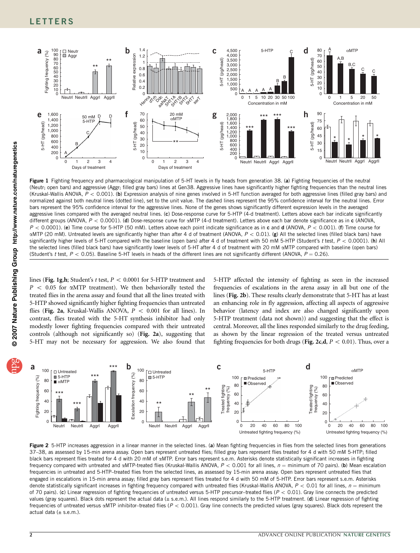

Figure 1 Fighting frequency and pharmacological manipulation of 5-HT levels in fly heads from generation 38. (a) Fighting frequencies of the neutral (Neutr; open bars) and aggressive (Aggr; filled gray bars) lines at Gen38. Aggressive lines have significantly higher fighting frequencies than the neutral lines (Kruskal-Wallis ANOVA,  $P < 0.001$ ). (b) Expression analysis of nine genes involved in 5-HT function averaged for both aggressive lines (filled gray bars) and normalized against both neutral lines (dotted line), set to the unit value. The dashed lines represent the 95% confidence interval for the neutral lines. Error bars represent the 95% confidence interval for the aggressive lines. None of the genes shows significantly different expression levels in the averaged aggressive lines compared with the averaged neutral lines. (c) Dose-response curve for 5-HTP (4-d treatment). Letters above each bar indicate significantly different groups (ANOVA,  $P < 0.0001$ ). (d) Dose-response curve for  $\alpha$ MTP (4-d treatment). Letters above each bar denote significance as in c (ANOVA,  $P < 0.0001$ ). (e) Time course for 5-HTP (50 mM). Letters above each point indicate significance as in c and d (ANOVA,  $P < 0.001$ ). (f) Time course for  $\alpha$ MTP (20 mM). Untreated levels are significantly higher than after 4 d of treatment (ANOVA,  $P < 0.01$ ). (g) All the selected lines (filled black bars) have significantly higher levels of 5-HT compared with the baseline (open bars) after 4 d of treatment with 50 mM 5-HTP (Student's t test,  $P < 0.0001$ ). (h) All the selected lines (filled black bars) have significantly lower levels of 5-HT after 4 d of treatment with 20 mM  $\alpha$ MTP compared with baseline (open bars) (Student's t test,  $P < 0.05$ ). Baseline 5-HT levels in heads of the different lines are not significantly different (ANOVA,  $P = 0.26$ ).

lines (Fig. 1g,h; Student's t test,  $P < 0.0001$  for 5-HTP treatment and  $P$  < 0.05 for  $\alpha$ MTP treatment). We then behaviorally tested the treated flies in the arena assay and found that all the lines treated with 5-HTP showed significantly higher fighting frequencies than untreated flies (Fig. 2a, Kruskal-Wallis ANOVA,  $P < 0.001$  for all lines). In contrast, flies treated with the 5-HT synthesis inhibitor had only modestly lower fighting frequencies compared with their untreated controls (although not significantly so) (Fig. 2a), suggesting that 5-HT may not be necessary for aggression. We also found that 5-HTP affected the intensity of fighting as seen in the increased frequencies of escalations in the arena assay in all but one of the lines (Fig. 2b). These results clearly demonstrate that 5-HT has at least an enhancing role in fly aggression, affecting all aspects of aggressive behavior (latency and index are also changed significantly upon 5-HTP treatment (data not shown)) and suggesting that the effect is central. Moreover, all the lines responded similarly to the drug feeding, as shown by the linear regression of the treated versus untreated fighting frequencies for both drugs (Fig. 2c,d,  $P < 0.01$ ). Thus, over a



Figure 2 5-HTP increases aggression in a linear manner in the selected lines. (a) Mean fighting frequencies in flies from the selected lines from generations 37–38, as assessed by 15-min arena assay. Open bars represent untreated flies; filled gray bars represent flies treated for 4 d with 50 mM 5-HTP; filled black bars represent flies treated for 4 d with 20 mM of  $\alpha$ MTP. Error bars represent s.e.m. Asterisks denote statistically significant increases in fighting frequency compared with untreated and  $\alpha$ MTP-treated flies (Kruskal-Wallis ANOVA,  $P < 0.001$  for all lines,  $n =$  minimum of 70 pairs). (b) Mean escalation frequencies in untreated and 5-HTP–treated flies from the selected lines, as assessed by 15-min arena assay. Open bars represent untreated flies that engaged in escalations in 15-min arena assay; filled gray bars represent flies treated for 4 d with 50 mM of 5-HTP. Error bars represent s.e.m. Asterisks denote statistically significant increases in fighting frequency compared with untreated flies (Kruskal-Wallis ANOVA,  $P < 0.01$  for all lines,  $n =$  minimum of 70 pairs). (c) Linear regression of fighting frequencies of untreated versus 5-HTP precursor-treated flies  $(P < 0.01)$ . Gray line connects the predicted values (gray squares). Black dots represent the actual data (± s.e.m.). All lines respond similarly to the 5-HTP treatment. (d) Linear regression of fighting frequencies of untreated versus  $\alpha$ MTP inhibitor–treated flies ( $P < 0.001$ ). Gray line connects the predicted values (gray squares). Black dots represent the actual data  $(\pm$  s.e.m.).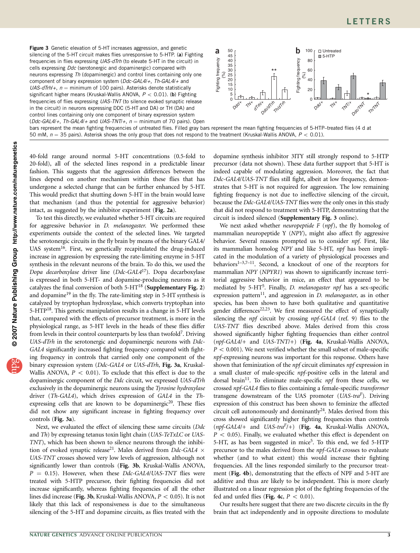

40-fold range around normal 5-HT concentrations (0.5-fold to 20-fold), all of the selected lines respond in a predictable linear fashion. This suggests that the aggression differences between the lines depend on another mechanism within these flies that has undergone a selected change that can be further enhanced by 5-HT. This would predict that shutting down 5-HT in the brain would leave that mechanism (and thus the potential for aggressive behavior) intact, as suggested by the inhibitor experiment (Fig. 2a).

To test this directly, we evaluated whether 5-HT circuits are required for aggressive behavior in D. melanogaster. We performed these experiments outside the context of the selected lines. We targeted the serotonergic circuits in the fly brain by means of the binary GAL4/ UAS system<sup>16</sup>. First, we genetically recapitulated the drug-induced increase in aggression by expressing the rate-limiting enzyme in 5-HT synthesis in the relevant neurons of the brain. To do this, we used the Dopa decarboxylase driver line (Ddc-GAL417). Dopa decarboxylase is expressed in both 5-HT- and dopamine-producing neurons as it catalyzes the final conversion of both  $5-HT^{18}$  (Supplementary Fig. 2) and dopamine<sup>19</sup> in the fly. The rate-limiting step in 5-HT synthesis is catalyzed by tryptophan hydroxylase, which converts tryptophan into 5-HTP<sup>18</sup>. This genetic manipulation results in a change in 5-HT levels that, compared with the effects of precursor treatment, is more in the physiological range, as 5-HT levels in the heads of these flies differ from levels in their control counterparts by less than twofold<sup>7</sup>. Driving UAS-dTrh in the serotonergic and dopaminergic neurons with Ddc-GAL4 significantly increased fighting frequency compared with fighting frequency in controls that carried only one component of the binary expression system (Ddc-GAL4 or UAS-dTrh, Fig. 3a, Kruskal-Wallis ANOVA,  $P < 0.01$ ). To exclude that this effect is due to the dopaminergic component of the Ddc circuit, we expressed UAS-dTrh exclusively in the dopaminergic neurons using the Tyrosine hydroxylase driver (Th-GAL4), which drives expression of GAL4 in the Thexpressing cells that are known to be dopaminergic<sup>20</sup>. These flies did not show any significant increase in fighting frequency over controls (Fig. 3a).

Next, we evaluated the effect of silencing these same circuits (Ddc and Th) by expressing tetanus toxin light chain (UAS-TeTxLC or UAS-TNT), which has been shown to silence neurons through the inhibition of evoked synaptic release<sup>21</sup>. Males derived from *Ddc-GAL4*  $\times$ UAS-TNT crosses showed very low levels of aggression, although not significantly lower than controls (Fig. 3b, Kruskal-Wallis ANOVA,  $P = 0.15$ ). However, when these Ddc-GAL4/UAS-TNT flies were treated with 5-HTP precursor, their fighting frequencies did not increase significantly, whereas fighting frequencies of all the other lines did increase (Fig. 3b, Kruskal-Wallis ANOVA,  $P < 0.05$ ). It is not likely that this lack of responsiveness is due to the simultaneous silencing of the 5-HT and dopamine circuits, as flies treated with the

dopamine synthesis inhibitor 3ITY still strongly respond to 5-HTP precursor (data not shown). These data further support that 5-HT is indeed capable of modulating aggression. Moreover, the fact that Ddc-GAL4/UAS-TNT flies still fight, albeit at low frequency, demonstrates that 5-HT is not required for aggression. The low remaining fighting frequency is not due to ineffective silencing of the circuit, because the Ddc-GAL4/UAS-TNT flies were the only ones in this study that did not respond to treatment with 5-HTP, demonstrating that the circuit is indeed silenced (Supplementary Fig. 3 online).

We next asked whether *neuropeptide*  $F$  (*npf*), the fly homolog of mammalian neuropeptide Y (NPY), might also affect fly aggressive behavior. Several reasons prompted us to consider npf. First, like its mammalian homolog NPY and like 5-HT, npf has been implicated in the modulation of a variety of physiological processes and behaviors<sup>1-3,7-11</sup>. Second, a knockout of one of the receptors for mammalian NPY (NPYR1) was shown to significantly increase territorial aggressive behavior in mice, an effect that appeared to be mediated by 5-HT<sup>5</sup>. Finally, *D. melanogaster npf* has a sex-specific expression pattern<sup>11</sup>, and aggression in  $D$ . melanogaster, as in other species, has been shown to have both qualitative and quantitative gender differences<sup>22,23</sup>. We first measured the effect of synaptically silencing the npf circuit by crossing npf-GAL4 (ref. 9) flies to the UAS-TNT flies described above. Males derived from this cross showed significantly higher fighting frequencies than either control (npf-GAL4/+ and UAS-TNT/+) (Fig. 4a, Kruskal-Wallis ANOVA,  $P < 0.001$ ). We next verified whether the small subset of male-specific npf-expressing neurons was important for this response. Others have shown that feminization of the npf circuit eliminates npf expression in a small cluster of male-specific npf-positive cells in the lateral and dorsal brain<sup>11</sup>. To eliminate male-specific *npf* from these cells, we crossed npf-GAL4 flies to flies containing a female-specific transformer transgene downstream of the UAS promoter  $(UAS-tra<sup>F</sup>)$ . Driving expression of this construct has been shown to feminize the affected circuit cell autonomously and dominantly<sup>24</sup>. Males derived from this cross showed significantly higher fighting frequencies than controls  $(npf-GAL4$ + and UAS-tra<sup>F</sup>/+) (Fig. 4a, Kruskal-Wallis ANOVA,  $P < 0.05$ ). Finally, we evaluated whether this effect is dependent on 5-HT, as has been suggested in mice<sup>5</sup>. To this end, we fed 5-HTP precursor to the males derived from the npf-GAL4 crosses to evaluate whether (and to what extent) this would increase their fighting frequencies. All the lines responded similarly to the precursor treatment (Fig. 4b), demonstrating that the effects of NPF and 5-HT are additive and thus are likely to be independent. This is more clearly illustrated on a linear regression plot of the fighting frequencies of the fed and unfed flies (Fig. 4c,  $P < 0.01$ ).

Our results here suggest that there are two discrete circuits in the fly brain that act independently and in opposite directions to modulate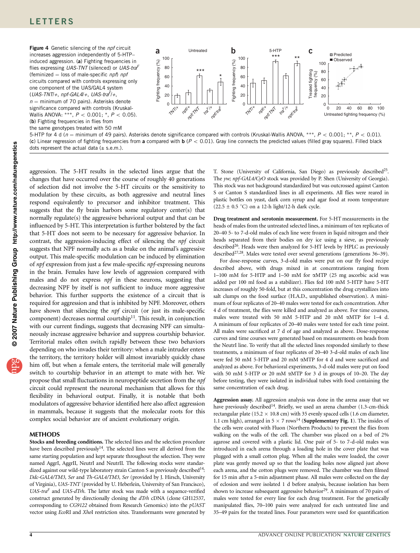## LETTERS

Figure 4 Genetic silencing of the *npf* circuit increases aggression independently of 5-HTP– induced aggression. (a) Fighting frequencies in flies expressing UAS-TNT (silenced) or UAS-tra<sup>F</sup> (feminized  $=$  loss of male-specific npf) npf circuits compared with controls expressing only one component of the UAS/GAL4 system  $(UAS-TNT/+, npf-GAL4/+, UAS-tra<sup>F</sup>/+,$  $n =$  minimum of 70 pairs). Asterisks denote significance compared with controls (Kruskal-Wallis ANOVA: \*\*\*,  $P < 0.001$ ; \*,  $P < 0.05$ ). (b) Fighting frequencies in flies from the same genotypes treated with 50 mM



5-HTP for 4 d ( $n =$  minimum of 49 pairs). Asterisks denote significance compared with controls (Kruskal-Wallis ANOVA, \*\*\*,  $P < 0.001$ , \*\*,  $P < 0.01$ ). (c) Linear regression of fighting frequencies from a compared with  $\mathbf{b}$  ( $P < 0.01$ ). Gray line connects the predicted values (filled gray squares). Filled black dots represent the actual data  $(\pm$  s.e.m.).

aggression. The 5-HT results in the selected lines argue that the changes that have occurred over the course of roughly 40 generations of selection did not involve the 5-HT circuits or the sensitivity to modulation by these circuits, as both aggressive and neutral lines respond equivalently to precursor and inhibitor treatment. This suggests that the fly brain harbors some regulatory center(s) that normally regulate(s) the aggressive behavioral output and that can be influenced by 5-HT. This interpretation is further bolstered by the fact that 5-HT does not seem to be necessary for aggressive behavior. In contrast, the aggression-inducing effect of silencing the npf circuit suggests that NPF normally acts as a brake on the animal's aggressive output. This male-specific modulation can be induced by elimination of npf expression from just a few male-specific npf-expressing neurons in the brain. Females have low levels of aggression compared with males and do not express npf in these neurons, suggesting that decreasing NPF by itself is not sufficient to induce more aggressive behavior. This further supports the existence of a circuit that is required for aggression and that is inhibited by NPF. Moreover, others have shown that silencing the *npf* circuit (or just its male-specific component) decreases normal courtship<sup>11</sup>. This result, in conjunction with our current findings, suggests that decreasing NPF can simultaneously increase aggressive behavior and suppress courtship behavior. Territorial males often switch rapidly between these two behaviors depending on who invades their territory: when a male intruder enters the territory, the territory holder will almost invariably quickly chase him off, but when a female enters, the territorial male will generally switch to courtship behavior in an attempt to mate with her. We propose that small fluctuations in neuropeptide secretion from the npf circuit could represent the neuronal mechanism that allows for this flexibility in behavioral output. Finally, it is notable that both modulators of aggressive behavior identified here also affect aggression in mammals, because it suggests that the molecular roots for this complex social behavior are of ancient evolutionary origin.

### METHODS

Stocks and breeding conditions. The selected lines and the selection procedure have been described previously<sup>14</sup>. The selected lines were all derived from the same starting population and kept separate throughout the selection. They were named AggrI, AggrII, NeutrI and NeutrII. The following stocks were standardized against our wild-type laboratory strain Canton S as previously described<sup>14</sup>: Ddc-GAL4/TM3, Ser and Th-GAL4/TM3, Ser (provided by J. Hirsch, University of Virginia), UAS-TNT (provided by U. Heberlein, University of San Francisco),  $UAS-tra<sup>F</sup>$  and  $UAS-dTrh$ . The latter stock was made with a sequence-verified construct generated by directionally cloning the dTrh cDNA (clone GH12537, corresponding to CG9122 obtained from Research Genomics) into the pUAST vector using EcoRI and XhoI restriction sites. Transformants were generated by

T. Stone (University of California, San Diego) as previously described<sup>25</sup>. The yw; npf-GAL4/CyO stock was provided by P. Shen (University of Georgia). This stock was not background standardized but was outcrossed against Canton S or Canton S standardized lines in all experiments. All flies were reared in plastic bottles on yeast, dark corn syrup and agar food at room temperature  $(22.5 \pm 0.5$  °C) on a 12-h light/12-h dark cycle.

Drug treatment and serotonin measurement. For 5-HT measurements in the heads of males from the untreated selected lines, a minimum of ten replicates of 20–40 5- to 7-d-old males of each line were frozen in liquid nitrogen and their heads separated from their bodies on dry ice using a sieve, as previously described<sup>26</sup>. Heads were then analyzed for 5-HT levels by HPLC as previously described<sup>27,28</sup>. Males were tested over several generations (generations 36–39).

For dose-response curves, 3-d-old males were put on our fly food recipe described above, with drugs mixed in at concentrations ranging from 1–100 mM for 5-HTP and 1–50 mM for aMTP (25 mg ascorbic acid was added per 100 ml food as a stabilizer). Flies fed 100 mM 5-HTP have 5-HT increases of roughly 50-fold, but at this concentration the drug crystallizes into salt clumps on the food surface (H.A.D., unpublished observation). A minimum of four replicates of 20–40 males were tested for each concentration. After 4 d of treatment, the flies were killed and analyzed as above. For time courses, males were treated with 50 mM 5-HTP and 20 mM aMTP for 1–4 d. A minimum of four replicates of 20–40 males were tested for each time point. All males were sacrificed at 7 d of age and analyzed as above. Dose-response curves and time courses were generated based on measurements on heads from the NeutrI line. To verify that all the selected lines responded similarly to these treatments, a minimum of four replicates of 20–40 3-d-old males of each line were fed 50 mM 5-HTP and 20 mM aMTP for 4 d and were sacrificed and analyzed as above. For behavioral experiments, 3-d-old males were put on food with 50 mM 5-HTP or 20 mM aMTP for 3 d in groups of 10–20. The day before testing, they were isolated in individual tubes with food containing the same concentration of each drug.

Aggression assay. All aggression analysis was done in the arena assay that we have previously described<sup>14</sup>. Briefly, we used an arena chamber (1.3-cm-thick rectangular plate (15.2  $\times$  10.8 cm) with 35 evenly spaced cells (1.6 cm diameter, 1.1 cm high), arranged in 5  $\times$  7 rows<sup>14</sup> (**Supplementary Fig. 1**). The insides of the cells were coated with Fluon (Northern Products) to prevent the flies from walking on the walls of the cell. The chamber was placed on a bed of 2% agarose and covered with a plastic lid. One pair of 5- to 7-d-old males was introduced in each arena through a loading hole in the cover plate that was plugged with a small cotton plug. When all the males were loaded, the cover plate was gently moved up so that the loading holes now aligned just above each arena, and the cotton plugs were removed. The chamber was then filmed for 15 min after a 5-min adjustment phase. All males were collected on the day of eclosion and were isolated 1 d before analysis, because isolation has been shown to increase subsequent aggressive behavior<sup>29</sup>. A minimum of 70 pairs of males were tested for every line for each drug treatment. For the genetically manipulated flies, 70–100 pairs were analyzed for each untreated line and 35–49 pairs for the treated lines. Four parameters were used for quantification